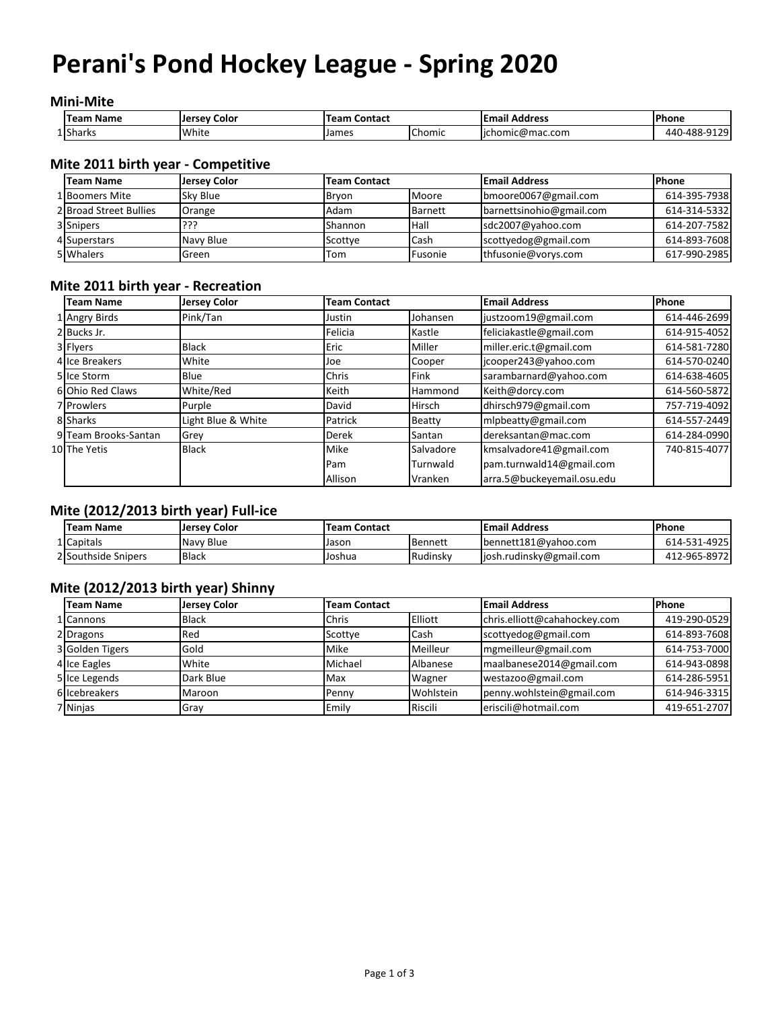# **Perani's Pond Hockey League - Spring 2020**

#### **Mini-Mite**

| Name<br>Team | Color<br><b>Jersey</b> | . Contact<br>Team |                                    | Address<br>Email            | l Phone                         |
|--------------|------------------------|-------------------|------------------------------------|-----------------------------|---------------------------------|
| 1 Sharks     | White                  | James             | $\overline{\phantom{0}}$<br>Chomic | . .<br>homic@mac.com<br>lic | 0170<br>440-488-<br>-u<br>ر ے ا |

#### **Mite 2011 birth year - Competitive**

| <b>Team Name</b>       | Jersey Color | <b>Team Contact</b> |                | <b>Email Address</b>     | <b>Phone</b> |
|------------------------|--------------|---------------------|----------------|--------------------------|--------------|
| 1 Boomers Mite         | Sky Blue     | Brvon               | Moore          | bmoore0067@gmail.com     | 614-395-7938 |
| 2 Broad Street Bullies | Orange       | Adam                | <b>Barnett</b> | barnettsinohio@gmail.com | 614-314-5332 |
| 3 Snipers              | ???          | Shannon             | <b>Hall</b>    | sdc2007@yahoo.com        | 614-207-7582 |
| 4 Superstars           | Navy Blue    | Scottve             | Cash           | scottyedog@gmail.com     | 614-893-7608 |
| 5 Whalers              | Green        | Tom                 | Fusonie        | thfusonie@vorys.com      | 617-990-2985 |

#### **Mite 2011 birth year - Recreation**

| <b>Team Name</b>     | <b>Jersey Color</b> | <b>Team Contact</b> |                | <b>Email Address</b>       | Phone        |
|----------------------|---------------------|---------------------|----------------|----------------------------|--------------|
| 1 Angry Birds        | Pink/Tan            | Justin              | Johansen       | justzoom19@gmail.com       | 614-446-2699 |
| 2 Bucks Jr.          |                     | Felicia             | Kastle         | feliciakastle@gmail.com    | 614-915-4052 |
| 3 Flyers             | <b>Black</b>        | Eric                | Miller         | miller.eric.t@gmail.com    | 614-581-7280 |
| 4 Ice Breakers       | White               | Joe                 | Cooper         | jcooper243@yahoo.com       | 614-570-0240 |
| 5 Ice Storm          | Blue                | Chris               | <b>Fink</b>    | sarambarnard@yahoo.com     | 614-638-4605 |
| 6 Ohio Red Claws     | White/Red           | Keith               | <b>Hammond</b> | Keith@dorcy.com            | 614-560-5872 |
| 7 Prowlers           | Purple              | David               | <b>Hirsch</b>  | dhirsch979@gmail.com       | 757-719-4092 |
| 8 Sharks             | Light Blue & White  | Patrick             | Beatty         | mlpbeatty@gmail.com        | 614-557-2449 |
| 9 Team Brooks-Santan | Grey                | Derek               | Santan         | dereksantan@mac.com        | 614-284-0990 |
| 10The Yetis          | <b>Black</b>        | Mike                | Salvadore      | kmsalvadore41@gmail.com    | 740-815-4077 |
|                      |                     | Pam                 | Turnwald       | pam.turnwald14@gmail.com   |              |
|                      |                     | Allison             | Vranken        | arra.5@buckeyemail.osu.edu |              |

### **Mite (2012/2013 birth year) Full-ice**

| <b>Team Name</b>    | <b>Jersey Color</b> | <b>Team Contact</b> |          | <b>Email Address</b>     | l Phone      |
|---------------------|---------------------|---------------------|----------|--------------------------|--------------|
| 1 Capitals          | Navy Blue           | l Jason             | Bennett  | bennett181@yahoo.com     | 614-531-4925 |
| 2 Southside Snipers | <b>Black</b>        | l Joshua            | Rudinsky | ljosh.rudinsky@gmail.com | 412-965-8972 |

### **Mite (2012/2013 birth year) Shinny**

| <b>Team Name</b> | Jersey Color | <b>Team Contact</b> |           | <b>Email Address</b>         | Phone        |
|------------------|--------------|---------------------|-----------|------------------------------|--------------|
| 1 Cannons        | <b>Black</b> | Chris               | Elliott   | chris.elliott@cahahockev.com | 419-290-0529 |
| 2 Dragons        | Red          | Scottye             | Cash      | scottyedog@gmail.com         | 614-893-7608 |
| 3 Golden Tigers  | Gold         | Mike                | Meilleur  | mgmeilleur@gmail.com         | 614-753-7000 |
| 4 Ice Eagles     | White        | Michael             | Albanese  | maalbanese2014@gmail.com     | 614-943-0898 |
| 5 Ice Legends    | Dark Blue    | Max                 | Wagner    | westazoo@gmail.com           | 614-286-5951 |
| 6 Icebreakers    | Maroon       | Penny               | Wohlstein | penny.wohlstein@gmail.com    | 614-946-3315 |
| 7 Ninjas         | Gray         | Emily               | Riscili   | eriscili@hotmail.com         | 419-651-2707 |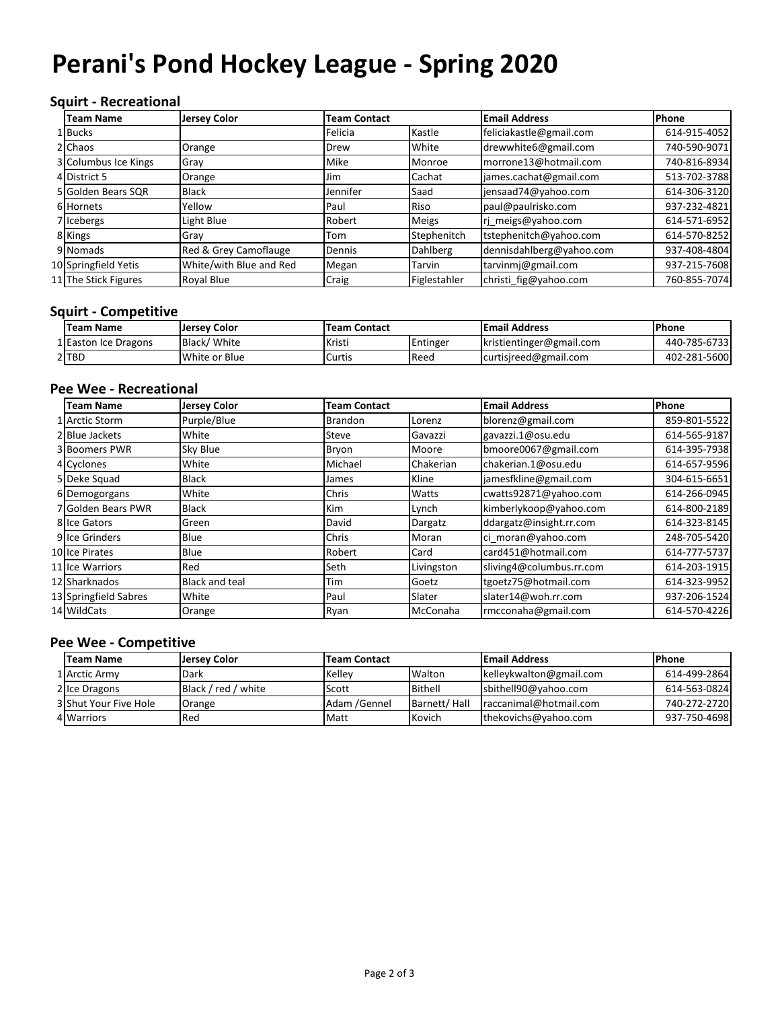# **Perani's Pond Hockey League - Spring 2020**

## **Squirt - Recreational**

| <b>Team Name</b>     | <b>Jersey Color</b>     | <b>Team Contact</b> |              | <b>Email Address</b>     | Phone        |
|----------------------|-------------------------|---------------------|--------------|--------------------------|--------------|
| 1 Bucks              |                         | Felicia             | Kastle       | feliciakastle@gmail.com  | 614-915-4052 |
| 2 Chaos              | Orange                  | Drew                | White        | drewwhite6@gmail.com     | 740-590-9071 |
| 3 Columbus Ice Kings | Gray                    | Mike                | Monroe       | morrone13@hotmail.com    | 740-816-8934 |
| 4 District 5         | Orange                  | Jim                 | Cachat       | james.cachat@gmail.com   | 513-702-3788 |
| 5 Golden Bears SQR   | <b>Black</b>            | Jennifer            | Saad         | jensaad74@yahoo.com      | 614-306-3120 |
| 6 Hornets            | Yellow                  | Paul                | Riso         | paul@paulrisko.com       | 937-232-4821 |
| 7 Icebergs           | Light Blue              | Robert              | <b>Meigs</b> | rj_meigs@yahoo.com       | 614-571-6952 |
| 8 Kings              | Gray                    | Tom                 | Stephenitch  | tstephenitch@yahoo.com   | 614-570-8252 |
| 9 Nomads             | Red & Grey Camoflauge   | Dennis              | Dahlberg     | dennisdahlberg@yahoo.com | 937-408-4804 |
| 10 Springfield Yetis | White/with Blue and Red | Megan               | Tarvin       | tarvinmj@gmail.com       | 937-215-7608 |
| 11 The Stick Figures | Royal Blue              | Craig               | Figlestahler | christi fig@yahoo.com    | 760-855-7074 |

#### **Squirt - Competitive**

| <b>Team Name</b>     | Jersey Color  | Team Contact |          | <b>Email Address</b>     | <b>Phone</b> |
|----------------------|---------------|--------------|----------|--------------------------|--------------|
| 1 Easton Ice Dragons | Black/White   | Kristi       | Entinger | kristientinger@gmail.com | 440-785-6733 |
| 2 TBD                | White or Blue | Curtis       | Reed     | curtisjreed@gmail.com    | 402-281-5600 |

#### **Pee Wee - Recreational**

| <b>Team Name</b>      | <b>Jersey Color</b>   | <b>Team Contact</b> |            | <b>Email Address</b>     | <b>Phone</b> |
|-----------------------|-----------------------|---------------------|------------|--------------------------|--------------|
| 1 Arctic Storm        | Purple/Blue           | <b>Brandon</b>      | Lorenz     | blorenz@gmail.com        | 859-801-5522 |
| 2 Blue Jackets        | White                 | Steve               | Gavazzi    | gavazzi.1@osu.edu        | 614-565-9187 |
| 3 Boomers PWR         | Sky Blue              | Bryon               | Moore      | bmoore0067@gmail.com     | 614-395-7938 |
| 4 Cyclones            | White                 | Michael             | Chakerian  | chakerian.1@osu.edu      | 614-657-9596 |
| 5 Deke Squad          | <b>Black</b>          | James               | Kline      | jamesfkline@gmail.com    | 304-615-6651 |
| 6 Demogorgans         | White                 | Chris               | Watts      | cwatts92871@yahoo.com    | 614-266-0945 |
| 7 Golden Bears PWR    | <b>Black</b>          | <b>Kim</b>          | Lynch      | kimberlykoop@yahoo.com   | 614-800-2189 |
| <b>8 Ice Gators</b>   | Green                 | David               | Dargatz    | ddargatz@insight.rr.com  | 614-323-8145 |
| 9 Ice Grinders        | Blue                  | Chris               | Moran      | ci moran@yahoo.com       | 248-705-5420 |
| 10 Ice Pirates        | Blue                  | Robert              | Card       | card451@hotmail.com      | 614-777-5737 |
| 11llce Warriors       | Red                   | Seth                | Livingston | sliving4@columbus.rr.com | 614-203-1915 |
| 12 Sharknados         | <b>Black and teal</b> | Tim                 | Goetz      | tgoetz75@hotmail.com     | 614-323-9952 |
| 13 Springfield Sabres | White                 | Paul                | Slater     | slater14@woh.rr.com      | 937-206-1524 |
| 14 WildCats           | Orange                | Ryan                | McConaha   | rmcconaha@gmail.com      | 614-570-4226 |

#### **Pee Wee - Competitive**

| <b>Team Name</b>      | Jersey Color        | <b>Team Contact</b> |              | <b>Email Address</b>    | <b>IPhone</b> |
|-----------------------|---------------------|---------------------|--------------|-------------------------|---------------|
| 1 Arctic Army         | Dark                | Kellev              | Walton       | kelleykwalton@gmail.com | 614-499-2864  |
| 2 Ice Dragons         | Black / red / white | Scott               | Bithell      | sbithell90@yahoo.com    | 614-563-0824  |
| 3 Shut Your Five Hole | Orange              | Adam /Gennel        | Barnett/Hall | Iraccanimal@hotmail.com | 740-272-2720  |
| 4 Warriors            | Red                 | Matt                | Kovich       | thekovichs@yahoo.com    | 937-750-4698  |